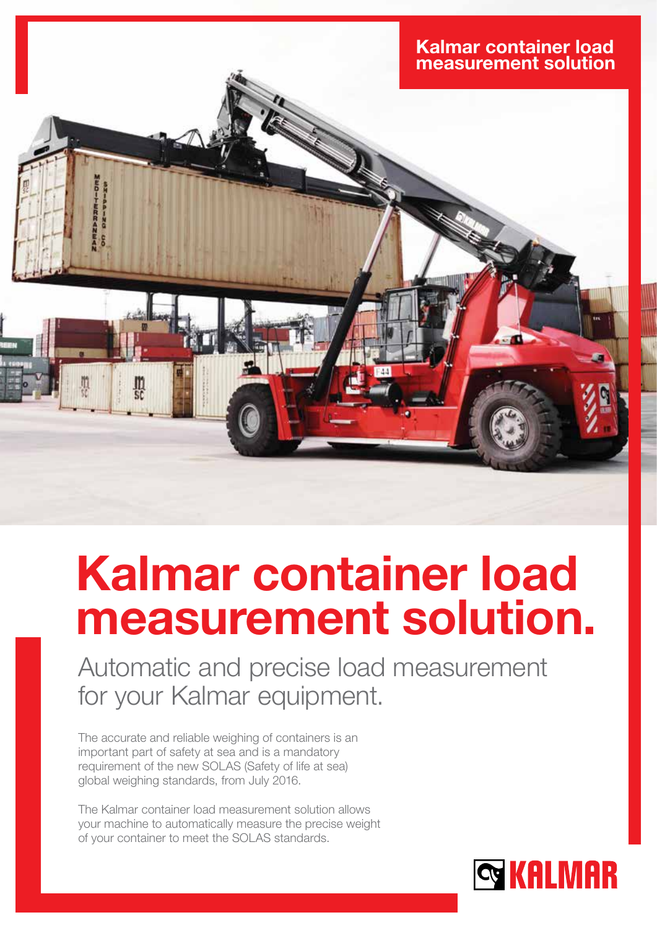

# Kalmar container load measurement solution.

Automatic and precise load measurement for your Kalmar equipment.

The accurate and reliable weighing of containers is an important part of safety at sea and is a mandatory requirement of the new SOLAS (Safety of life at sea) global weighing standards, from July 2016.

The Kalmar container load measurement solution allows your machine to automatically measure the precise weight of your container to meet the SOLAS standards.